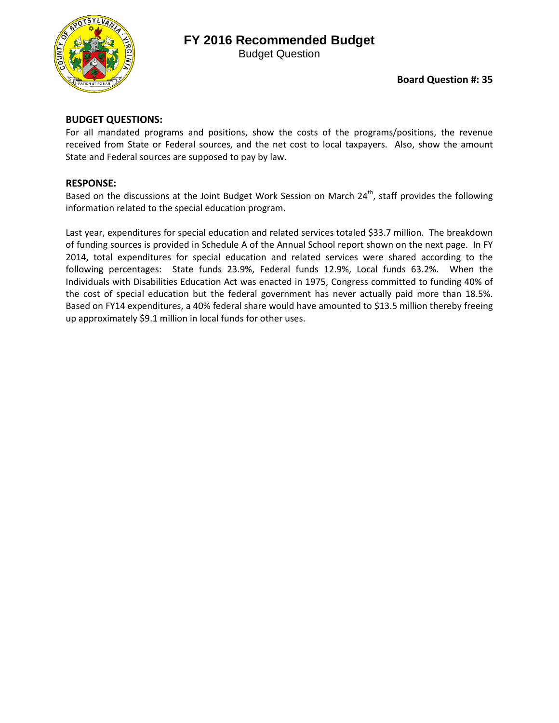

# **FY 2016 Recommended Budget**

Budget Question

### **BUDGET QUESTIONS:**

For all mandated programs and positions, show the costs of the programs/positions, the revenue received from State or Federal sources, and the net cost to local taxpayers. Also, show the amount State and Federal sources are supposed to pay by law.

#### **RESPONSE:**

Based on the discussions at the Joint Budget Work Session on March  $24^{th}$ , staff provides the following information related to the special education program.

Last year, expenditures for special education and related services totaled \$33.7 million. The breakdown of funding sources is provided in Schedule A of the Annual School report shown on the next page. In FY 2014, total expenditures for special education and related services were shared according to the following percentages: State funds 23.9%, Federal funds 12.9%, Local funds 63.2%. When the Individuals with Disabilities Education Act was enacted in 1975, Congress committed to funding 40% of the cost of special education but the federal government has never actually paid more than 18.5%. Based on FY14 expenditures, a 40% federal share would have amounted to \$13.5 million thereby freeing up approximately \$9.1 million in local funds for other uses.